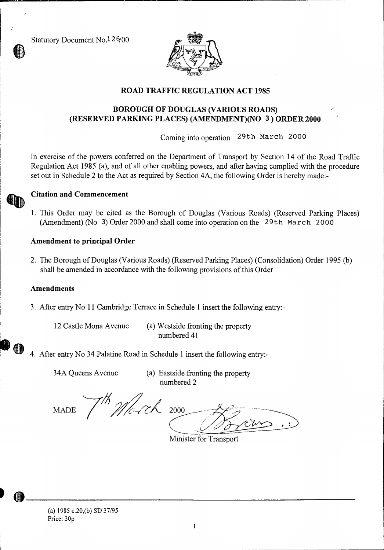Statutory Document No.1 2 6/00



# **ROAD TRAFFIC REGULATION ACT 1985**

# **BOROUGH OF DOUGLAS (VARIOUS ROADS) (RESERVED PARKING PLACES) (AMENDMENT)(NO 3 ) ORDER 2000**

Coming into operation 29th March 2000

In exercise of the powers conferred on the Department of Transport by Section 14 of the Road Traffic Regulation Act 1985 (a), and of all other enabling powers, and after having complied with the procedure set out in Schedule 2 to the Act as required by Section 4A, the following Order is hereby made:-



#### **Citation and Commencement**

1. This Order may be cited as the Borough of Douglas (Various Roads) (Reserved Parking Places) (Amendment) (No 3) Order 2000 and shall come into operation on the  $29th$  March 2000

### **Amendment to principal Order**

2. The Borough of Douglas (Various Roads) (Reserved Parking Places) (Consolidation) Order 1995 (b) shall be amended in accordance with the following provisions of this Order

#### **Amendments**

- 3. After entry No 11 Cambridge Terrace in Schedule 1 insert the following entry:-
	-
	- 12 Castle Mona Avenue (a) Westside fronting the property numbered 41
- 4. After entry No 34 Palatine Road in Schedule 1 insert the following entry:-

34A Queens Avenue (a) Eastside fronting the property numbered 2

MADE  $\frac{1}{\sqrt{2}}$  Morch

2000

Minister for Transport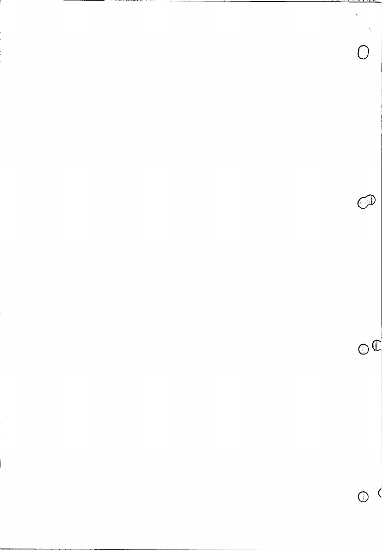